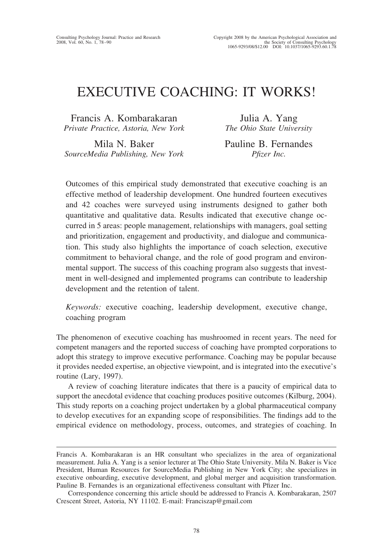# EXECUTIVE COACHING: IT WORKS!

Francis A. Kombarakaran *Private Practice, Astoria, New York*

Mila N. Baker *SourceMedia Publishing, New York*

Julia A. Yang *The Ohio State University*

Pauline B. Fernandes *Pfizer Inc.*

Outcomes of this empirical study demonstrated that executive coaching is an effective method of leadership development. One hundred fourteen executives and 42 coaches were surveyed using instruments designed to gather both quantitative and qualitative data. Results indicated that executive change occurred in 5 areas: people management, relationships with managers, goal setting and prioritization, engagement and productivity, and dialogue and communication. This study also highlights the importance of coach selection, executive commitment to behavioral change, and the role of good program and environmental support. The success of this coaching program also suggests that investment in well-designed and implemented programs can contribute to leadership development and the retention of talent.

*Keywords:* executive coaching, leadership development, executive change, coaching program

The phenomenon of executive coaching has mushroomed in recent years. The need for competent managers and the reported success of coaching have prompted corporations to adopt this strategy to improve executive performance. Coaching may be popular because it provides needed expertise, an objective viewpoint, and is integrated into the executive's routine (Lary, 1997).

A review of coaching literature indicates that there is a paucity of empirical data to support the anecdotal evidence that coaching produces positive outcomes (Kilburg, 2004). This study reports on a coaching project undertaken by a global pharmaceutical company to develop executives for an expanding scope of responsibilities. The findings add to the empirical evidence on methodology, process, outcomes, and strategies of coaching. In

Francis A. Kombarakaran is an HR consultant who specializes in the area of organizational measurement. Julia A. Yang is a senior lecturer at The Ohio State University. Mila N. Baker is Vice President, Human Resources for SourceMedia Publishing in New York City; she specializes in executive onboarding, executive development, and global merger and acquisition transformation. Pauline B. Fernandes is an organizational effectiveness consultant with Pfizer Inc.

Correspondence concerning this article should be addressed to Francis A. Kombarakaran, 2507 Crescent Street, Astoria, NY 11102. E-mail: Franciszap@gmail.com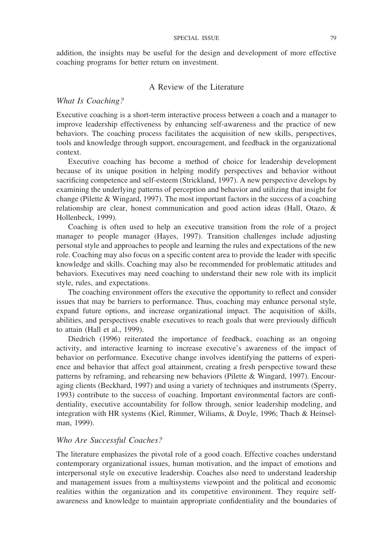addition, the insights may be useful for the design and development of more effective coaching programs for better return on investment.

# A Review of the Literature

### *What Is Coaching?*

Executive coaching is a short-term interactive process between a coach and a manager to improve leadership effectiveness by enhancing self-awareness and the practice of new behaviors. The coaching process facilitates the acquisition of new skills, perspectives, tools and knowledge through support, encouragement, and feedback in the organizational context.

Executive coaching has become a method of choice for leadership development because of its unique position in helping modify perspectives and behavior without sacrificing competence and self-esteem (Strickland, 1997). A new perspective develops by examining the underlying patterns of perception and behavior and utilizing that insight for change (Pilette & Wingard, 1997). The most important factors in the success of a coaching relationship are clear, honest communication and good action ideas (Hall, Otazo, & Hollenbeck, 1999).

Coaching is often used to help an executive transition from the role of a project manager to people manager (Hayes, 1997). Transition challenges include adjusting personal style and approaches to people and learning the rules and expectations of the new role. Coaching may also focus on a specific content area to provide the leader with specific knowledge and skills. Coaching may also be recommended for problematic attitudes and behaviors. Executives may need coaching to understand their new role with its implicit style, rules, and expectations.

The coaching environment offers the executive the opportunity to reflect and consider issues that may be barriers to performance. Thus, coaching may enhance personal style, expand future options, and increase organizational impact. The acquisition of skills, abilities, and perspectives enable executives to reach goals that were previously difficult to attain (Hall et al., 1999).

Diedrich (1996) reiterated the importance of feedback, coaching as an ongoing activity, and interactive learning to increase executive's awareness of the impact of behavior on performance. Executive change involves identifying the patterns of experience and behavior that affect goal attainment, creating a fresh perspective toward these patterns by reframing, and rehearsing new behaviors (Pilette & Wingard, 1997). Encouraging clients (Beckhard, 1997) and using a variety of techniques and instruments (Sperry, 1993) contribute to the success of coaching. Important environmental factors are confidentiality, executive accountability for follow through, senior leadership modeling, and integration with HR systems (Kiel, Rimmer, Wiliams, & Doyle, 1996; Thach & Heinselman, 1999).

# *Who Are Successful Coaches?*

The literature emphasizes the pivotal role of a good coach. Effective coaches understand contemporary organizational issues, human motivation, and the impact of emotions and interpersonal style on executive leadership. Coaches also need to understand leadership and management issues from a multisystems viewpoint and the political and economic realities within the organization and its competitive environment. They require selfawareness and knowledge to maintain appropriate confidentiality and the boundaries of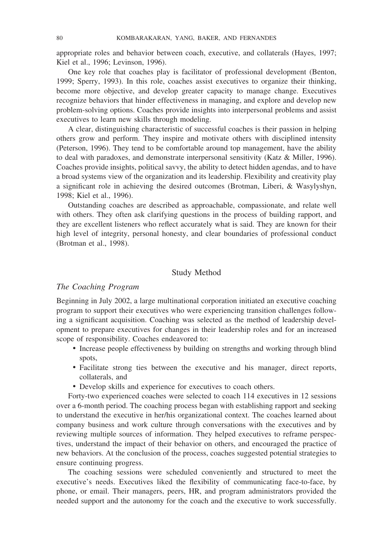appropriate roles and behavior between coach, executive, and collaterals (Hayes, 1997; Kiel et al., 1996; Levinson, 1996).

One key role that coaches play is facilitator of professional development (Benton, 1999; Sperry, 1993). In this role, coaches assist executives to organize their thinking, become more objective, and develop greater capacity to manage change. Executives recognize behaviors that hinder effectiveness in managing, and explore and develop new problem-solving options. Coaches provide insights into interpersonal problems and assist executives to learn new skills through modeling.

A clear, distinguishing characteristic of successful coaches is their passion in helping others grow and perform. They inspire and motivate others with disciplined intensity (Peterson, 1996). They tend to be comfortable around top management, have the ability to deal with paradoxes, and demonstrate interpersonal sensitivity (Katz & Miller, 1996). Coaches provide insights, political savvy, the ability to detect hidden agendas, and to have a broad systems view of the organization and its leadership. Flexibility and creativity play a significant role in achieving the desired outcomes (Brotman, Liberi, & Wasylyshyn, 1998; Kiel et al., 1996).

Outstanding coaches are described as approachable, compassionate, and relate well with others. They often ask clarifying questions in the process of building rapport, and they are excellent listeners who reflect accurately what is said. They are known for their high level of integrity, personal honesty, and clear boundaries of professional conduct (Brotman et al., 1998).

### Study Method

# *The Coaching Program*

Beginning in July 2002, a large multinational corporation initiated an executive coaching program to support their executives who were experiencing transition challenges following a significant acquisition. Coaching was selected as the method of leadership development to prepare executives for changes in their leadership roles and for an increased scope of responsibility. Coaches endeavored to:

- Increase people effectiveness by building on strengths and working through blind spots,
- Facilitate strong ties between the executive and his manager, direct reports, collaterals, and
- Develop skills and experience for executives to coach others.

Forty-two experienced coaches were selected to coach 114 executives in 12 sessions over a 6-month period. The coaching process began with establishing rapport and seeking to understand the executive in her/his organizational context. The coaches learned about company business and work culture through conversations with the executives and by reviewing multiple sources of information. They helped executives to reframe perspectives, understand the impact of their behavior on others, and encouraged the practice of new behaviors. At the conclusion of the process, coaches suggested potential strategies to ensure continuing progress.

The coaching sessions were scheduled conveniently and structured to meet the executive's needs. Executives liked the flexibility of communicating face-to-face, by phone, or email. Their managers, peers, HR, and program administrators provided the needed support and the autonomy for the coach and the executive to work successfully.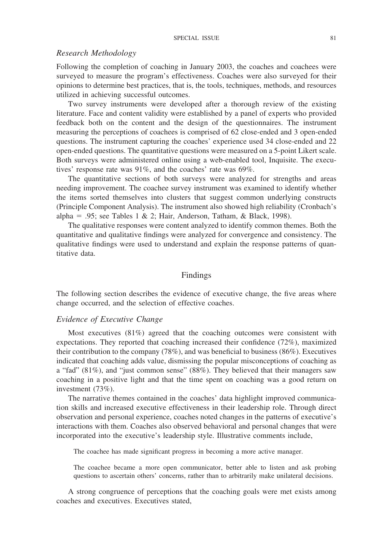# *Research Methodology*

Following the completion of coaching in January 2003, the coaches and coachees were surveyed to measure the program's effectiveness. Coaches were also surveyed for their opinions to determine best practices, that is, the tools, techniques, methods, and resources utilized in achieving successful outcomes.

Two survey instruments were developed after a thorough review of the existing literature. Face and content validity were established by a panel of experts who provided feedback both on the content and the design of the questionnaires. The instrument measuring the perceptions of coachees is comprised of 62 close-ended and 3 open-ended questions. The instrument capturing the coaches' experience used 34 close-ended and 22 open-ended questions. The quantitative questions were measured on a 5-point Likert scale. Both surveys were administered online using a web-enabled tool, Inquisite. The executives' response rate was 91%, and the coaches' rate was 69%.

The quantitative sections of both surveys were analyzed for strengths and areas needing improvement. The coachee survey instrument was examined to identify whether the items sorted themselves into clusters that suggest common underlying constructs (Principle Component Analysis). The instrument also showed high reliability (Cronbach's alpha = .95; see Tables 1 & 2; Hair, Anderson, Tatham, & Black, 1998).

The qualitative responses were content analyzed to identify common themes. Both the quantitative and qualitative findings were analyzed for convergence and consistency. The qualitative findings were used to understand and explain the response patterns of quantitative data.

# Findings

The following section describes the evidence of executive change, the five areas where change occurred, and the selection of effective coaches.

# *Evidence of Executive Change*

Most executives  $(81%)$  agreed that the coaching outcomes were consistent with expectations. They reported that coaching increased their confidence (72%), maximized their contribution to the company (78%), and was beneficial to business (86%). Executives indicated that coaching adds value, dismissing the popular misconceptions of coaching as a "fad" (81%), and "just common sense" (88%). They believed that their managers saw coaching in a positive light and that the time spent on coaching was a good return on investment (73%).

The narrative themes contained in the coaches' data highlight improved communication skills and increased executive effectiveness in their leadership role. Through direct observation and personal experience, coaches noted changes in the patterns of executive's interactions with them. Coaches also observed behavioral and personal changes that were incorporated into the executive's leadership style. Illustrative comments include,

The coachee has made significant progress in becoming a more active manager.

The coachee became a more open communicator, better able to listen and ask probing questions to ascertain others' concerns, rather than to arbitrarily make unilateral decisions.

A strong congruence of perceptions that the coaching goals were met exists among coaches and executives. Executives stated,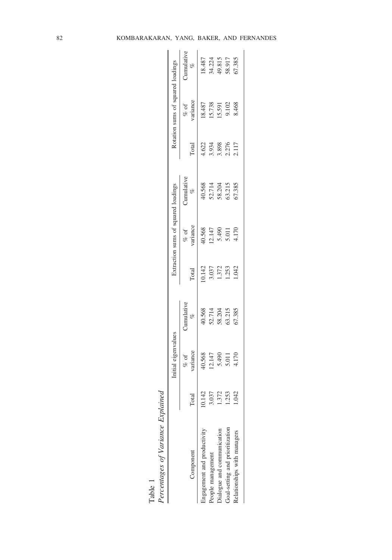| Percentages of Variance Explained |                |                     |                          |                         |                                     |                            |                |                                   |                            |
|-----------------------------------|----------------|---------------------|--------------------------|-------------------------|-------------------------------------|----------------------------|----------------|-----------------------------------|----------------------------|
|                                   |                | Initial eigenvalues |                          |                         | Extraction sums of squared loadings |                            |                | Rotation sums of squared loadings |                            |
| Component                         | Total          | variance<br>$%$ of  | <b>Cumulative</b><br>olo | Total                   | % of<br>variance                    | $c$ annulative             | Total          | $\%$ of variance                  | Cumulative<br>olo          |
| Engagement and productivity       | $\frac{42}{3}$ |                     |                          |                         |                                     |                            |                |                                   |                            |
| People management                 | ,037           | 10.568<br>12.147    | 40.568<br>52.714         | 0.142<br>3.037          | 40.568<br>12.147                    | 40.568<br>52.714           | 4.622<br>3.934 | 18.487<br>15.738                  | 18.487<br>34.224           |
| Dialogue and communication        | .372           | 5.490               |                          |                         | 5.490                               |                            | 3.898          | 15.591                            |                            |
| Goal-setting and prioritization   | .253           | 5.011               | 58.204<br>63.215         | 1.372<br>1.253<br>1.042 | 5.011<br>4.170                      | 58.204<br>63.215<br>67.385 | 2.276          | 9.102<br>8.468                    | 49.815<br>58.917<br>67.385 |
| Relationships with managers       | 342            | 4.170               | 67.385                   |                         |                                     |                            | 2.117          |                                   |                            |
|                                   |                |                     |                          |                         |                                     |                            |                |                                   |                            |

|       | <i>Explained</i><br>Ξ |
|-------|-----------------------|
|       | ariance               |
|       |                       |
| Table | 'ercentages of<br>ř   |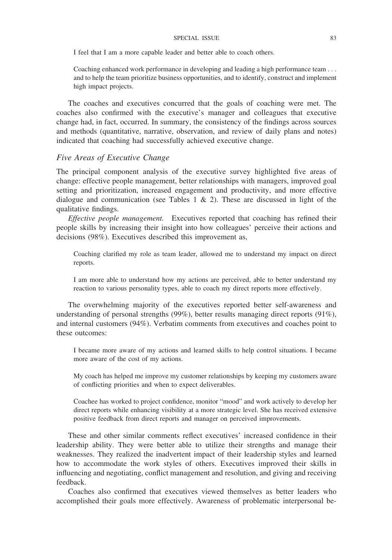#### SPECIAL ISSUE 83

I feel that I am a more capable leader and better able to coach others.

Coaching enhanced work performance in developing and leading a high performance team . . . and to help the team prioritize business opportunities, and to identify, construct and implement high impact projects.

The coaches and executives concurred that the goals of coaching were met. The coaches also confirmed with the executive's manager and colleagues that executive change had, in fact, occurred. In summary, the consistency of the findings across sources and methods (quantitative, narrative, observation, and review of daily plans and notes) indicated that coaching had successfully achieved executive change.

# *Five Areas of Executive Change*

The principal component analysis of the executive survey highlighted five areas of change: effective people management, better relationships with managers, improved goal setting and prioritization, increased engagement and productivity, and more effective dialogue and communication (see Tables 1  $\&$  2). These are discussed in light of the qualitative findings.

*Effective people management.* Executives reported that coaching has refined their people skills by increasing their insight into how colleagues' perceive their actions and decisions (98%). Executives described this improvement as,

Coaching clarified my role as team leader, allowed me to understand my impact on direct reports.

I am more able to understand how my actions are perceived, able to better understand my reaction to various personality types, able to coach my direct reports more effectively.

The overwhelming majority of the executives reported better self-awareness and understanding of personal strengths (99%), better results managing direct reports (91%), and internal customers (94%). Verbatim comments from executives and coaches point to these outcomes:

I became more aware of my actions and learned skills to help control situations. I became more aware of the cost of my actions.

My coach has helped me improve my customer relationships by keeping my customers aware of conflicting priorities and when to expect deliverables.

Coachee has worked to project confidence, monitor "mood" and work actively to develop her direct reports while enhancing visibility at a more strategic level. She has received extensive positive feedback from direct reports and manager on perceived improvements.

These and other similar comments reflect executives' increased confidence in their leadership ability. They were better able to utilize their strengths and manage their weaknesses. They realized the inadvertent impact of their leadership styles and learned how to accommodate the work styles of others. Executives improved their skills in influencing and negotiating, conflict management and resolution, and giving and receiving feedback.

Coaches also confirmed that executives viewed themselves as better leaders who accomplished their goals more effectively. Awareness of problematic interpersonal be-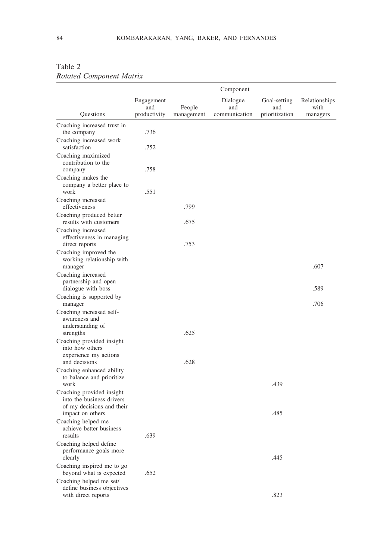|                                                                                                         |                                   |                      | Component                        |                                       |                                   |
|---------------------------------------------------------------------------------------------------------|-----------------------------------|----------------------|----------------------------------|---------------------------------------|-----------------------------------|
| Questions                                                                                               | Engagement<br>and<br>productivity | People<br>management | Dialogue<br>and<br>communication | Goal-setting<br>and<br>prioritization | Relationships<br>with<br>managers |
| Coaching increased trust in                                                                             |                                   |                      |                                  |                                       |                                   |
| the company                                                                                             | .736                              |                      |                                  |                                       |                                   |
| Coaching increased work<br>satisfaction                                                                 | .752                              |                      |                                  |                                       |                                   |
| Coaching maximized<br>contribution to the<br>company                                                    | .758                              |                      |                                  |                                       |                                   |
| Coaching makes the<br>company a better place to<br>work                                                 | .551                              |                      |                                  |                                       |                                   |
| Coaching increased<br>effectiveness                                                                     |                                   | .799                 |                                  |                                       |                                   |
| Coaching produced better<br>results with customers                                                      |                                   | .675                 |                                  |                                       |                                   |
| Coaching increased<br>effectiveness in managing<br>direct reports                                       |                                   | .753                 |                                  |                                       |                                   |
| Coaching improved the<br>working relationship with<br>manager                                           |                                   |                      |                                  |                                       | .607                              |
| Coaching increased<br>partnership and open<br>dialogue with boss                                        |                                   |                      |                                  |                                       | .589                              |
| Coaching is supported by<br>manager                                                                     |                                   |                      |                                  |                                       | .706                              |
| Coaching increased self-<br>awareness and<br>understanding of                                           |                                   | .625                 |                                  |                                       |                                   |
| strengths<br>Coaching provided insight<br>into how others<br>experience my actions                      |                                   |                      |                                  |                                       |                                   |
| and decisions                                                                                           |                                   | .628                 |                                  |                                       |                                   |
| Coaching enhanced ability<br>to balance and prioritize<br>work                                          |                                   |                      |                                  | .439                                  |                                   |
| Coaching provided insight<br>into the business drivers<br>of my decisions and their<br>impact on others |                                   |                      |                                  | .485                                  |                                   |
| Coaching helped me<br>achieve better business<br>results                                                | .639                              |                      |                                  |                                       |                                   |
| Coaching helped define<br>performance goals more<br>clearly                                             |                                   |                      |                                  | .445                                  |                                   |
| Coaching inspired me to go<br>beyond what is expected                                                   | .652                              |                      |                                  |                                       |                                   |
| Coaching helped me set/<br>define business objectives<br>with direct reports                            |                                   |                      |                                  | .823                                  |                                   |

# Table 2 *Rotated Component Matrix*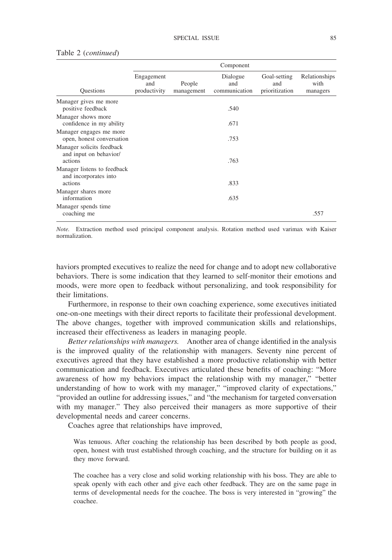|                                                                 | Component                         |                      |                                  |                                       |                                   |  |  |
|-----------------------------------------------------------------|-----------------------------------|----------------------|----------------------------------|---------------------------------------|-----------------------------------|--|--|
| <b>Questions</b>                                                | Engagement<br>and<br>productivity | People<br>management | Dialogue<br>and<br>communication | Goal-setting<br>and<br>prioritization | Relationships<br>with<br>managers |  |  |
| Manager gives me more<br>positive feedback                      |                                   |                      | .540                             |                                       |                                   |  |  |
| Manager shows more<br>confidence in my ability                  |                                   |                      | .671                             |                                       |                                   |  |  |
| Manager engages me more<br>open, honest conversation            |                                   |                      | .753                             |                                       |                                   |  |  |
| Manager solicits feedback<br>and input on behavior/<br>actions  |                                   |                      | .763                             |                                       |                                   |  |  |
| Manager listens to feedback<br>and incorporates into<br>actions |                                   |                      | .833                             |                                       |                                   |  |  |
| Manager shares more<br>information                              |                                   |                      | .635                             |                                       |                                   |  |  |
| Manager spends time<br>coaching me                              |                                   |                      |                                  |                                       | .557                              |  |  |

#### Table 2 (*continued*)

*Note.* Extraction method used principal component analysis. Rotation method used varimax with Kaiser normalization.

haviors prompted executives to realize the need for change and to adopt new collaborative behaviors. There is some indication that they learned to self-monitor their emotions and moods, were more open to feedback without personalizing, and took responsibility for their limitations.

Furthermore, in response to their own coaching experience, some executives initiated one-on-one meetings with their direct reports to facilitate their professional development. The above changes, together with improved communication skills and relationships, increased their effectiveness as leaders in managing people.

*Better relationships with managers.* Another area of change identified in the analysis is the improved quality of the relationship with managers. Seventy nine percent of executives agreed that they have established a more productive relationship with better communication and feedback. Executives articulated these benefits of coaching: "More awareness of how my behaviors impact the relationship with my manager," "better understanding of how to work with my manager," "improved clarity of expectations," "provided an outline for addressing issues," and "the mechanism for targeted conversation with my manager." They also perceived their managers as more supportive of their developmental needs and career concerns.

Coaches agree that relationships have improved,

Was tenuous. After coaching the relationship has been described by both people as good, open, honest with trust established through coaching, and the structure for building on it as they move forward.

The coachee has a very close and solid working relationship with his boss. They are able to speak openly with each other and give each other feedback. They are on the same page in terms of developmental needs for the coachee. The boss is very interested in "growing" the coachee.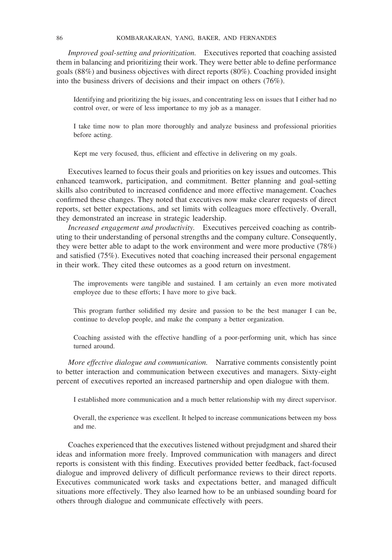*Improved goal-setting and prioritization.* Executives reported that coaching assisted them in balancing and prioritizing their work. They were better able to define performance goals (88%) and business objectives with direct reports (80%). Coaching provided insight into the business drivers of decisions and their impact on others (76%).

Identifying and prioritizing the big issues, and concentrating less on issues that I either had no control over, or were of less importance to my job as a manager.

I take time now to plan more thoroughly and analyze business and professional priorities before acting.

Kept me very focused, thus, efficient and effective in delivering on my goals.

Executives learned to focus their goals and priorities on key issues and outcomes. This enhanced teamwork, participation, and commitment. Better planning and goal-setting skills also contributed to increased confidence and more effective management. Coaches confirmed these changes. They noted that executives now make clearer requests of direct reports, set better expectations, and set limits with colleagues more effectively. Overall, they demonstrated an increase in strategic leadership.

*Increased engagement and productivity.* Executives perceived coaching as contributing to their understanding of personal strengths and the company culture. Consequently, they were better able to adapt to the work environment and were more productive (78%) and satisfied (75%). Executives noted that coaching increased their personal engagement in their work. They cited these outcomes as a good return on investment.

The improvements were tangible and sustained. I am certainly an even more motivated employee due to these efforts; I have more to give back.

This program further solidified my desire and passion to be the best manager I can be, continue to develop people, and make the company a better organization.

Coaching assisted with the effective handling of a poor-performing unit, which has since turned around.

*More effective dialogue and communication.* Narrative comments consistently point to better interaction and communication between executives and managers. Sixty-eight percent of executives reported an increased partnership and open dialogue with them.

I established more communication and a much better relationship with my direct supervisor.

Overall, the experience was excellent. It helped to increase communications between my boss and me.

Coaches experienced that the executives listened without prejudgment and shared their ideas and information more freely. Improved communication with managers and direct reports is consistent with this finding. Executives provided better feedback, fact-focused dialogue and improved delivery of difficult performance reviews to their direct reports. Executives communicated work tasks and expectations better, and managed difficult situations more effectively. They also learned how to be an unbiased sounding board for others through dialogue and communicate effectively with peers.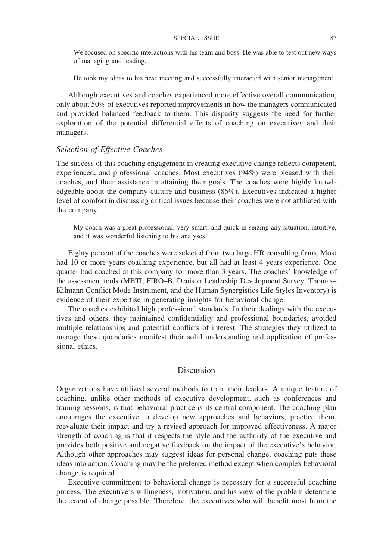We focused on specific interactions with his team and boss. He was able to test out new ways of managing and leading.

He took my ideas to his next meeting and successfully interacted with senior management.

Although executives and coaches experienced more effective overall communication, only about 50% of executives reported improvements in how the managers communicated and provided balanced feedback to them. This disparity suggests the need for further exploration of the potential differential effects of coaching on executives and their managers.

### *Selection of Effective Coaches*

The success of this coaching engagement in creating executive change reflects competent, experienced, and professional coaches. Most executives (94%) were pleased with their coaches, and their assistance in attaining their goals. The coaches were highly knowledgeable about the company culture and business (86%). Executives indicated a higher level of comfort in discussing critical issues because their coaches were not affiliated with the company.

My coach was a great professional, very smart, and quick in seizing any situation, intuitive, and it was wonderful listening to his analyses.

Eighty percent of the coaches were selected from two large HR consulting firms. Most had 10 or more years coaching experience, but all had at least 4 years experience. One quarter had coached at this company for more than 3 years. The coaches' knowledge of the assessment tools (MBTI, FIRO–B, Denison Leadership Development Survey, Thomas– Kilmann Conflict Mode Instrument, and the Human Synergistics Life Styles Inventory) is evidence of their expertise in generating insights for behavioral change.

The coaches exhibited high professional standards. In their dealings with the executives and others, they maintained confidentiality and professional boundaries, avoided multiple relationships and potential conflicts of interest. The strategies they utilized to manage these quandaries manifest their solid understanding and application of professional ethics.

# Discussion

Organizations have utilized several methods to train their leaders. A unique feature of coaching, unlike other methods of executive development, such as conferences and training sessions, is that behavioral practice is its central component. The coaching plan encourages the executive to develop new approaches and behaviors, practice them, reevaluate their impact and try a revised approach for improved effectiveness. A major strength of coaching is that it respects the style and the authority of the executive and provides both positive and negative feedback on the impact of the executive's behavior. Although other approaches may suggest ideas for personal change, coaching puts these ideas into action. Coaching may be the preferred method except when complex behavioral change is required.

Executive commitment to behavioral change is necessary for a successful coaching process. The executive's willingness, motivation, and his view of the problem determine the extent of change possible. Therefore, the executives who will benefit most from the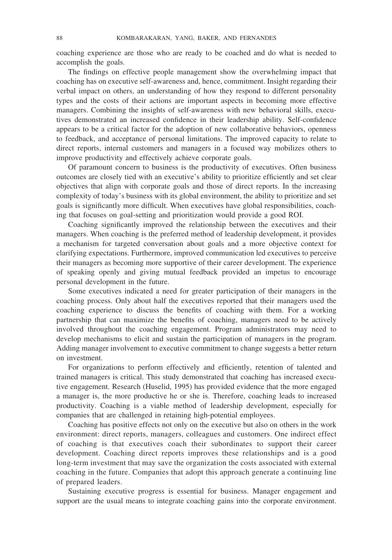coaching experience are those who are ready to be coached and do what is needed to accomplish the goals.

The findings on effective people management show the overwhelming impact that coaching has on executive self-awareness and, hence, commitment. Insight regarding their verbal impact on others, an understanding of how they respond to different personality types and the costs of their actions are important aspects in becoming more effective managers. Combining the insights of self-awareness with new behavioral skills, executives demonstrated an increased confidence in their leadership ability. Self-confidence appears to be a critical factor for the adoption of new collaborative behaviors, openness to feedback, and acceptance of personal limitations. The improved capacity to relate to direct reports, internal customers and managers in a focused way mobilizes others to improve productivity and effectively achieve corporate goals.

Of paramount concern to business is the productivity of executives. Often business outcomes are closely tied with an executive's ability to prioritize efficiently and set clear objectives that align with corporate goals and those of direct reports. In the increasing complexity of today's business with its global environment, the ability to prioritize and set goals is significantly more difficult. When executives have global responsibilities, coaching that focuses on goal-setting and prioritization would provide a good ROI.

Coaching significantly improved the relationship between the executives and their managers. When coaching is the preferred method of leadership development, it provides a mechanism for targeted conversation about goals and a more objective context for clarifying expectations. Furthermore, improved communication led executives to perceive their managers as becoming more supportive of their career development. The experience of speaking openly and giving mutual feedback provided an impetus to encourage personal development in the future.

Some executives indicated a need for greater participation of their managers in the coaching process. Only about half the executives reported that their managers used the coaching experience to discuss the benefits of coaching with them. For a working partnership that can maximize the benefits of coaching, managers need to be actively involved throughout the coaching engagement. Program administrators may need to develop mechanisms to elicit and sustain the participation of managers in the program. Adding manager involvement to executive commitment to change suggests a better return on investment.

For organizations to perform effectively and efficiently, retention of talented and trained managers is critical. This study demonstrated that coaching has increased executive engagement. Research (Huselid, 1995) has provided evidence that the more engaged a manager is, the more productive he or she is. Therefore, coaching leads to increased productivity. Coaching is a viable method of leadership development, especially for companies that are challenged in retaining high-potential employees.

Coaching has positive effects not only on the executive but also on others in the work environment: direct reports, managers, colleagues and customers. One indirect effect of coaching is that executives coach their subordinates to support their career development. Coaching direct reports improves these relationships and is a good long-term investment that may save the organization the costs associated with external coaching in the future. Companies that adopt this approach generate a continuing line of prepared leaders.

Sustaining executive progress is essential for business. Manager engagement and support are the usual means to integrate coaching gains into the corporate environment.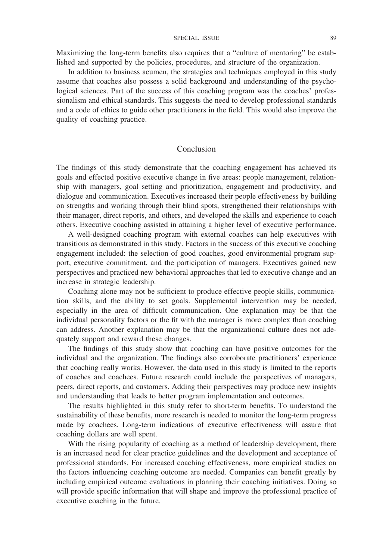#### SPECIAL ISSUE 89

Maximizing the long-term benefits also requires that a "culture of mentoring" be established and supported by the policies, procedures, and structure of the organization.

In addition to business acumen, the strategies and techniques employed in this study assume that coaches also possess a solid background and understanding of the psychological sciences. Part of the success of this coaching program was the coaches' professionalism and ethical standards. This suggests the need to develop professional standards and a code of ethics to guide other practitioners in the field. This would also improve the quality of coaching practice.

# Conclusion

The findings of this study demonstrate that the coaching engagement has achieved its goals and effected positive executive change in five areas: people management, relationship with managers, goal setting and prioritization, engagement and productivity, and dialogue and communication. Executives increased their people effectiveness by building on strengths and working through their blind spots, strengthened their relationships with their manager, direct reports, and others, and developed the skills and experience to coach others. Executive coaching assisted in attaining a higher level of executive performance.

A well-designed coaching program with external coaches can help executives with transitions as demonstrated in this study. Factors in the success of this executive coaching engagement included: the selection of good coaches, good environmental program support, executive commitment, and the participation of managers. Executives gained new perspectives and practiced new behavioral approaches that led to executive change and an increase in strategic leadership.

Coaching alone may not be sufficient to produce effective people skills, communication skills, and the ability to set goals. Supplemental intervention may be needed, especially in the area of difficult communication. One explanation may be that the individual personality factors or the fit with the manager is more complex than coaching can address. Another explanation may be that the organizational culture does not adequately support and reward these changes.

The findings of this study show that coaching can have positive outcomes for the individual and the organization. The findings also corroborate practitioners' experience that coaching really works. However, the data used in this study is limited to the reports of coaches and coachees. Future research could include the perspectives of managers, peers, direct reports, and customers. Adding their perspectives may produce new insights and understanding that leads to better program implementation and outcomes.

The results highlighted in this study refer to short-term benefits. To understand the sustainability of these benefits, more research is needed to monitor the long-term progress made by coachees. Long-term indications of executive effectiveness will assure that coaching dollars are well spent.

With the rising popularity of coaching as a method of leadership development, there is an increased need for clear practice guidelines and the development and acceptance of professional standards. For increased coaching effectiveness, more empirical studies on the factors influencing coaching outcome are needed. Companies can benefit greatly by including empirical outcome evaluations in planning their coaching initiatives. Doing so will provide specific information that will shape and improve the professional practice of executive coaching in the future.